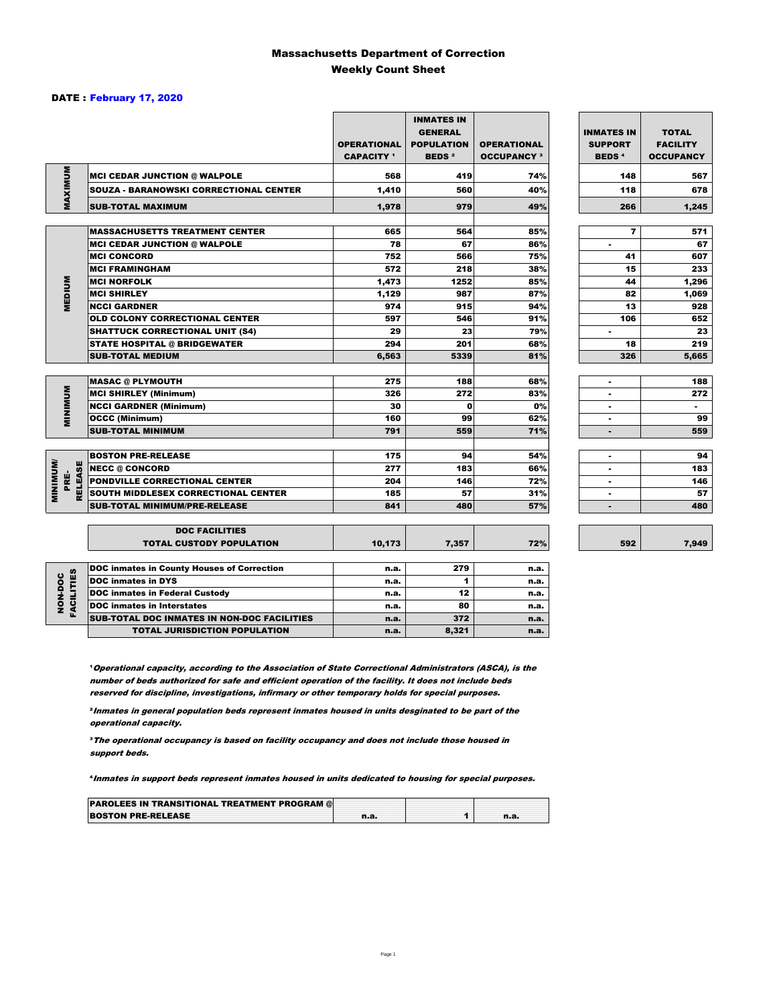#### Massachusetts Department of Correction Weekly Count Sheet

#### DATE : February 17, 2020

|                        |                                                   | <b>OPERATIONAL</b><br><b>CAPACITY</b> 1 | <b>INMATES IN</b><br><b>GENERAL</b><br><b>POPULATION</b><br><b>BEDS<sup>2</sup></b> | <b>OPERATIONAL</b><br><b>OCCUPANCY 3</b> | <b>INMATES IN</b><br><b>SUPPORT</b><br><b>BEDS<sup>4</sup></b> | <b>TOTAL</b><br><b>FACILITY</b><br><b>OCCUPANCY</b> |
|------------------------|---------------------------------------------------|-----------------------------------------|-------------------------------------------------------------------------------------|------------------------------------------|----------------------------------------------------------------|-----------------------------------------------------|
| MAXIMUM                | <b>MCI CEDAR JUNCTION @ WALPOLE</b>               | 568                                     | 419                                                                                 | 74%                                      | 148                                                            | 567                                                 |
|                        | SOUZA - BARANOWSKI CORRECTIONAL CENTER            | 1.410                                   | 560                                                                                 | 40%                                      | 118                                                            | 678                                                 |
|                        | <b>SUB-TOTAL MAXIMUM</b>                          | 1,978                                   | 979                                                                                 | 49%                                      | 266                                                            | 1,245                                               |
|                        |                                                   |                                         |                                                                                     |                                          |                                                                |                                                     |
|                        | <b>MASSACHUSETTS TREATMENT CENTER</b>             | 665                                     | 564                                                                                 | 85%                                      | $\overline{\mathbf{r}}$                                        | 571                                                 |
|                        | <b>MCI CEDAR JUNCTION @ WALPOLE</b>               | 78                                      | 67                                                                                  | 86%                                      | ٠                                                              | 67                                                  |
|                        | <b>MCI CONCORD</b>                                | 752                                     | 566                                                                                 | 75%                                      | 41                                                             | 607                                                 |
|                        | <b>MCI FRAMINGHAM</b>                             | 572                                     | 218                                                                                 | 38%                                      | 15                                                             | 233                                                 |
| MEDIUM                 | <b>MCI NORFOLK</b>                                | 1,473                                   | 1252                                                                                | 85%                                      | 44                                                             | 1,296                                               |
|                        | <b>MCI SHIRLEY</b>                                | 1,129                                   | 987                                                                                 | 87%                                      | 82                                                             | 1,069                                               |
|                        | <b>NCCI GARDNER</b>                               | 974                                     | 915                                                                                 | 94%                                      | 13                                                             | 928                                                 |
|                        | <b>OLD COLONY CORRECTIONAL CENTER</b>             | 597                                     | 546                                                                                 | 91%                                      | 106                                                            | 652                                                 |
|                        | <b>SHATTUCK CORRECTIONAL UNIT (S4)</b>            | 29                                      | 23                                                                                  | 79%                                      | ٠                                                              | 23                                                  |
|                        | <b>STATE HOSPITAL @ BRIDGEWATER</b>               | 294                                     | 201                                                                                 | 68%                                      | 18                                                             | 219                                                 |
|                        | <b>SUB-TOTAL MEDIUM</b>                           | 6,563                                   | 5339                                                                                | 81%                                      | 326                                                            | 5.665                                               |
|                        | <b>MASAC @ PLYMOUTH</b>                           | 275                                     | 188                                                                                 | 68%                                      | ٠                                                              | 188                                                 |
| <b>MINIMUM</b>         | <b>MCI SHIRLEY (Minimum)</b>                      | 326                                     | 272                                                                                 | 83%                                      | ٠                                                              | 272                                                 |
|                        | <b>NCCI GARDNER (Minimum)</b>                     | 30                                      | $\Omega$                                                                            | 0%                                       | $\sim$                                                         | $\sim$                                              |
|                        | <b>OCCC (Minimum)</b>                             | 160                                     | 99                                                                                  | 62%                                      | ٠                                                              | 99                                                  |
|                        | <b>SUB-TOTAL MINIMUM</b>                          | 791                                     | 559                                                                                 | 71%                                      |                                                                | 559                                                 |
|                        |                                                   |                                         |                                                                                     |                                          |                                                                |                                                     |
|                        | <b>BOSTON PRE-RELEASE</b>                         | 175                                     | 94                                                                                  | 54%                                      | ٠                                                              | 94                                                  |
|                        | <b>NECC @ CONCORD</b>                             | 277                                     | 183                                                                                 | 66%                                      |                                                                | 183                                                 |
| <b>RELEASE</b><br>PRÉ- | PONDVILLE CORRECTIONAL CENTER                     | 204                                     | 146                                                                                 | 72%                                      | ٠                                                              | 146                                                 |
| <b>MINIMINI</b>        | SOUTH MIDDLESEX CORRECTIONAL CENTER               | 185                                     | 57                                                                                  | 31%                                      | ٠                                                              | 57                                                  |
|                        | <b>SUB-TOTAL MINIMUM/PRE-RELEASE</b>              | 841                                     | 480                                                                                 | 57%                                      | ٠                                                              | 480                                                 |
|                        | <b>DOC FACILITIES</b>                             |                                         |                                                                                     |                                          |                                                                |                                                     |
|                        | <b>TOTAL CUSTODY POPULATION</b>                   | 10,173                                  | 7,357                                                                               | 72%                                      | 592                                                            | 7,949                                               |
|                        | <b>DOC inmates in County Houses of Correction</b> | n.a.                                    | 279                                                                                 | n.a.                                     |                                                                |                                                     |
|                        | <b>DOC</b> inmates in DYS                         | n.a.                                    | 1                                                                                   | n.a.                                     |                                                                |                                                     |
|                        | <b>DOC inmates in Federal Custody</b>             | n.a.                                    | 12                                                                                  | n.a.                                     |                                                                |                                                     |
| FACILITIES<br>NON-DOC  | <b>DOC</b> inmates in Interstates                 | n.a.                                    | 80                                                                                  | n.a.                                     |                                                                |                                                     |
|                        | CUR TOTAL BOO INIMETED IN NON BOO FAOU ITIED      |                                         | $5 - 2$                                                                             |                                          |                                                                |                                                     |

7,949

**Operational capacity, according to the Association of State Correctional Administrators (ASCA), is the** number of beds authorized for safe and efficient operation of the facility. It does not include beds reserved for discipline, investigations, infirmary or other temporary holds for special purposes.

SUB-TOTAL DOC INMATES IN NON-DOC FACILITIES n.a. 372 n.a.

TOTAL JURISDICTION POPULATION **n.a.** 8,321 n.a.

²Inmates in general population beds represent inmates housed in units desginated to be part of the operational capacity.

³The operational occupancy is based on facility occupancy and does not include those housed in support beds.

⁴Inmates in support beds represent inmates housed in units dedicated to housing for special purposes.

| <b>PAROLEES IN TRANSITIONAL TREATMENT PROGRAM @</b> |  |  |
|-----------------------------------------------------|--|--|
| <b>BOSTON PRE-RELEASE</b>                           |  |  |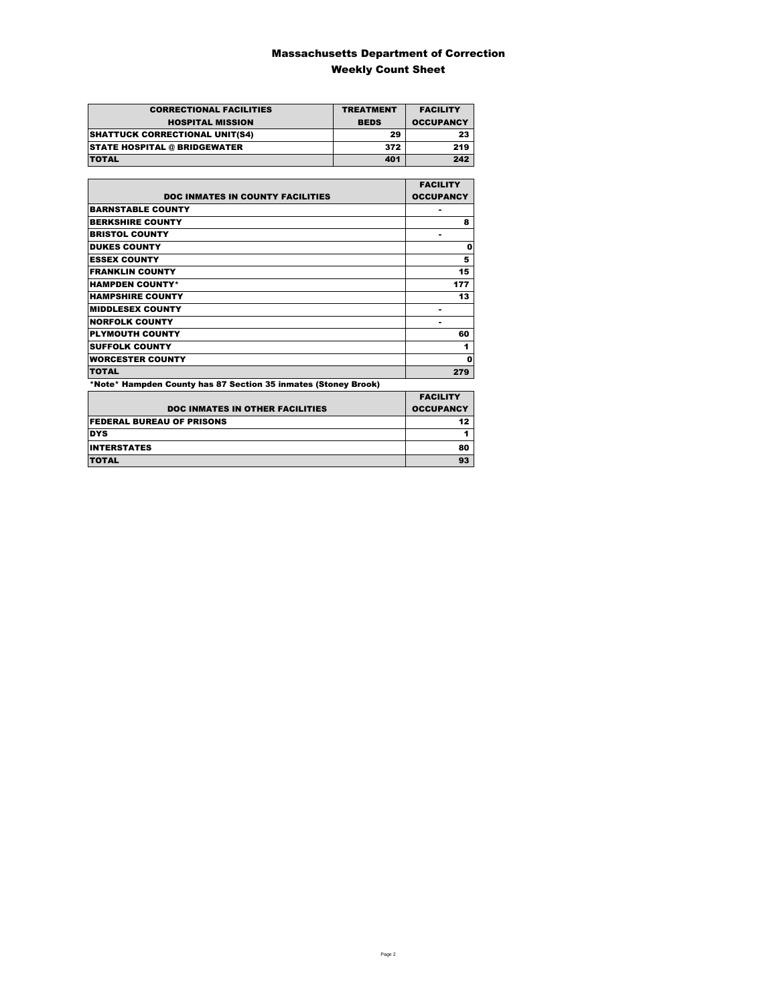### Massachusetts Department of Correction Weekly Count Sheet

| <b>CORRECTIONAL FACILITIES</b>        | <b>TREATMENT</b> | <b>FACILITY</b>  |
|---------------------------------------|------------------|------------------|
| <b>HOSPITAL MISSION</b>               | <b>BEDS</b>      | <b>OCCUPANCY</b> |
| <b>SHATTUCK CORRECTIONAL UNIT(S4)</b> | 29               | 23               |
| <b>STATE HOSPITAL @ BRIDGEWATER</b>   | 372              | 219              |
| <b>TOTAL</b>                          | 401              | 242              |

|                                                                | <b>FACILITY</b>  |
|----------------------------------------------------------------|------------------|
| <b>DOC INMATES IN COUNTY FACILITIES</b>                        | <b>OCCUPANCY</b> |
| <b>BARNSTABLE COUNTY</b>                                       |                  |
| <b>BERKSHIRE COUNTY</b>                                        | 8                |
| <b>BRISTOL COUNTY</b>                                          |                  |
| <b>DUKES COUNTY</b>                                            | 0                |
| <b>ESSEX COUNTY</b>                                            | 5                |
| <b>FRANKLIN COUNTY</b>                                         | 15               |
| <b>HAMPDEN COUNTY*</b>                                         | 177              |
| <b>HAMPSHIRE COUNTY</b>                                        | 13               |
| <b>MIDDLESEX COUNTY</b>                                        |                  |
| <b>NORFOLK COUNTY</b>                                          |                  |
| <b>PLYMOUTH COUNTY</b>                                         | 60               |
| <b>SUFFOLK COUNTY</b>                                          | 1                |
| <b>WORCESTER COUNTY</b>                                        | 0                |
| <b>TOTAL</b>                                                   | 279              |
| *Note* Hampden County has 87 Section 35 inmates (Stoney Brook) |                  |

|                                        | <b>FACILITY</b>  |
|----------------------------------------|------------------|
| <b>DOC INMATES IN OTHER FACILITIES</b> | <b>OCCUPANCY</b> |
| <b>FEDERAL BUREAU OF PRISONS</b>       | 12 <sub>2</sub>  |
| <b>DYS</b>                             |                  |
| <b>INTERSTATES</b>                     | 80               |
| <b>TOTAL</b>                           | 93               |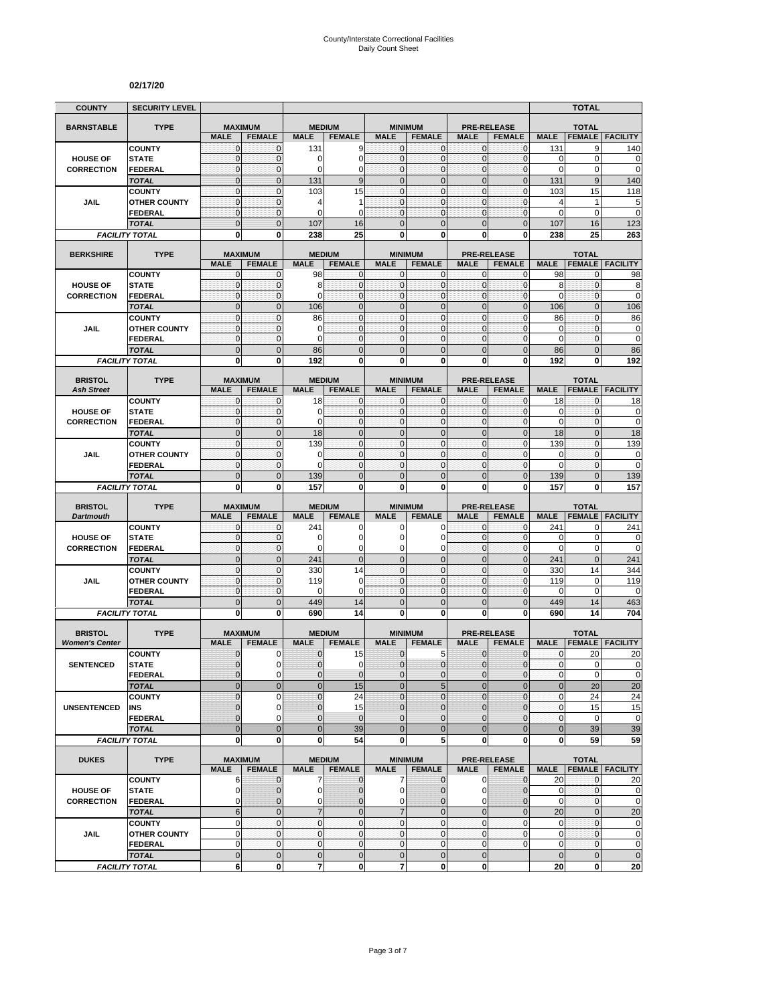#### **02/17/20**

| <b>COUNTY</b>                           | <b>SECURITY LEVEL</b>                 |                               |                               |                  |                                |                                  |                                 |                                |                                     |                   | TOTAL                         |                                                                                                                                                                                           |
|-----------------------------------------|---------------------------------------|-------------------------------|-------------------------------|------------------|--------------------------------|----------------------------------|---------------------------------|--------------------------------|-------------------------------------|-------------------|-------------------------------|-------------------------------------------------------------------------------------------------------------------------------------------------------------------------------------------|
| <b>BARNSTABLE</b>                       | <b>TYPE</b>                           | <b>MAXIMUM</b>                |                               | <b>MEDIUM</b>    |                                |                                  | <b>MINIMUM</b>                  |                                | <b>PRE-RELEASE</b>                  |                   | <b>TOTAL</b>                  |                                                                                                                                                                                           |
|                                         |                                       | <b>MALE</b>                   | <b>FEMALE</b>                 | <b>MALE</b>      | <b>FEMALE</b>                  | <b>MALE</b>                      | <b>FEMALE</b>                   | <b>MALE</b>                    | <b>FEMALE</b>                       | <b>MALE</b>       | <b>FEMALE</b>                 | <b>FACILITY</b>                                                                                                                                                                           |
|                                         | <b>COUNTY</b>                         | $\mathbf{0}$                  | $\mathbf 0$                   | 131              | 9                              | $\overline{0}$                   | $\mathbf 0$                     | $\mathbf{O}$                   | $\mathbf{0}$                        | 131               | 9                             | 140                                                                                                                                                                                       |
| <b>HOUSE OF</b>                         | <b>STATE</b>                          | $\mathbf 0$                   | $\mathbf{0}$                  | 0                | 0                              | $\overline{0}$                   | $\mathbf 0$                     | $\mathbf{0}$                   | $\mathbf 0$                         | $\mathbf 0$       | $\mathbf 0$                   | 0                                                                                                                                                                                         |
| <b>CORRECTION</b>                       | FEDERAL                               | $\overline{0}$                | $\mathbf{0}$                  | 0                | $\overline{0}$                 | $\overline{0}$                   | $\overline{0}$                  | $\mathbf{0}$                   | $\mathbf 0$                         | $\mathbf 0$       | $\mathbf 0$                   | $\mathbf 0$                                                                                                                                                                               |
|                                         | <b>TOTAL</b>                          | $\mathbf 0$                   | $\mathbf{0}$                  | 131              | 9<br>15                        | $\mathbf{0}$<br>$\mathbf{0}$     | $\overline{0}$                  | $\mathbf 0$                    | $\mathbf 0$                         | 131               | $9\,$                         | 140                                                                                                                                                                                       |
| <b>JAIL</b>                             | <b>COUNTY</b><br><b>OTHER COUNTY</b>  | 0<br>$\mathbf 0$              | $\mathbf 0$<br>$\mathbf 0$    | 103<br>4         | 1                              | $\mathbf{O}$                     | 0<br>$\mathbf 0$                | $\mathbf 0$<br>$\mathbf{O}$    | $\mathbf 0$<br>$\mathbf{0}$         | 103<br>4          | 15<br>1                       | 118<br>5                                                                                                                                                                                  |
|                                         | <b>FEDERAL</b>                        | 0                             | $\mathbf 0$                   | 0                | 0                              | $\mathbf{0}$                     | 0                               | $\mathbf 0$                    | $\mathbf 0$                         | 0                 | $\mathbf 0$                   | $\overline{0}$                                                                                                                                                                            |
|                                         | <b>TOTAL</b>                          | $\overline{0}$                | $\mathbf{0}$                  | 107              | 16                             | $\mathbf{0}$                     | $\overline{0}$                  | $\mathbf{0}$                   | $\overline{0}$                      | 107               | 16                            | 123                                                                                                                                                                                       |
|                                         | <b>FACILITY TOTAL</b>                 | $\mathbf 0$                   | $\bf{0}$                      | 238              | 25                             | $\mathbf{0}$                     | $\bf{0}$                        | 0                              | $\mathbf{0}$                        | 238               | 25                            | 263                                                                                                                                                                                       |
|                                         |                                       |                               |                               |                  |                                |                                  |                                 |                                |                                     |                   |                               |                                                                                                                                                                                           |
| <b>BERKSHIRE</b>                        | <b>TYPE</b>                           | <b>MAXIMUM</b><br><b>MALE</b> | <b>FEMALE</b>                 | <b>MALE</b>      | <b>MEDIUM</b><br><b>FEMALE</b> | <b>MALE</b>                      | <b>MINIMUM</b><br><b>FEMALE</b> | <b>MALE</b>                    | <b>PRE-RELEASE</b><br><b>FEMALE</b> | <b>MALE</b>       | <b>TOTAL</b><br><b>FEMALE</b> | <b>FACILITY</b>                                                                                                                                                                           |
|                                         | <b>COUNTY</b>                         | 0                             | 0                             | 98               | 0                              | $\mathbf{0}$                     | $\mathbf 0$                     | $\mathbf{0}$                   | 0                                   | 98                | 0                             | 98                                                                                                                                                                                        |
| <b>HOUSE OF</b>                         | <b>STATE</b>                          | $\mathbf 0$                   | $\mathbf 0$                   | 8                | $\mathbf 0$                    | $\overline{0}$                   | $\mathbf 0$                     | $\mathbf{O}$                   | $\mathbf{0}$                        | 8                 | $\mathbf{0}$                  | 8                                                                                                                                                                                         |
| <b>CORRECTION</b>                       | <b>FEDERAL</b>                        | $\mathbf 0$                   | $\mathbf 0$                   | $\Omega$         | $\mathbf{0}$                   | $\mathbf{O}$                     | $\mathbf 0$                     | $\mathbf{0}$                   | $\mathbf 0$                         | $\mathbf 0$       | $\mathbf{0}$                  | $\mathbf 0$                                                                                                                                                                               |
|                                         | <b>TOTAL</b>                          | $\overline{0}$                | $\mathbf{0}$                  | 106              | $\overline{0}$                 | $\overline{0}$                   | $\overline{0}$                  | $\mathbf{0}$                   | $\overline{0}$                      | 106               | $\mathbf{0}$                  | 106                                                                                                                                                                                       |
|                                         | <b>COUNTY</b>                         | $\mathbf 0$                   | $\mathbf{0}$                  | 86               | $\overline{0}$                 | $\mathbf 0$                      | $\mathbf 0$                     | $\mathbf{0}$                   | $\mathbf 0$                         | 86                | $\mathbf{0}$                  | 86                                                                                                                                                                                        |
| JAIL                                    | <b>OTHER COUNTY</b>                   | 0                             | $\mathbf{0}$                  | 0                | $\mathbf 0$                    | $\mathbf{0}$                     | 0                               | $\mathbf 0$                    | $\mathbf 0$                         | 0                 | $\mathbf 0$                   | 0                                                                                                                                                                                         |
|                                         | <b>FEDERAL</b>                        | $\mathbf 0$<br>$\mathbf 0$    | $\mathbf 0$<br>$\mathbf{0}$   | $\Omega$         | $\mathbf 0$<br>$\mathbf 0$     | $\mathbf 0$                      | $\mathbf 0$<br>$\overline{0}$   | $\mathbf{0}$<br>$\mathbf{0}$   | $\mathbf{0}$                        | $\mathbf 0$       | $\mathbf{0}$                  | $\mathbf 0$<br>86                                                                                                                                                                         |
|                                         | <b>TOTAL</b><br><b>FACILITY TOTAL</b> | $\mathbf 0$                   | $\bf{0}$                      | 86<br>192        | $\mathbf 0$                    | $\mathbf 0$<br>0                 | $\mathbf 0$                     | $\mathbf 0$                    | $\pmb{0}$<br>0                      | 86<br>192         | $\mathbf 0$<br>0              | 192                                                                                                                                                                                       |
|                                         |                                       |                               |                               |                  |                                |                                  |                                 |                                |                                     |                   |                               |                                                                                                                                                                                           |
| <b>BRISTOL</b>                          | <b>TYPE</b>                           | <b>MAXIMUM</b>                |                               |                  | <b>MEDIUM</b>                  |                                  | <b>MINIMUM</b>                  |                                | <b>PRE-RELEASE</b>                  |                   | <b>TOTAL</b>                  |                                                                                                                                                                                           |
| <b>Ash Street</b>                       |                                       | <b>MALE</b>                   | <b>FEMALE</b>                 | <b>MALE</b>      | <b>FEMALE</b>                  | <b>MALE</b>                      | <b>FEMALE</b>                   | <b>MALE</b>                    | <b>FEMALE</b>                       | <b>MALE</b>       | <b>FEMALE</b>                 | <b>FACILITY</b>                                                                                                                                                                           |
|                                         | <b>COUNTY</b>                         | $\mathbf{0}$<br>$\mathbf 0$   | $\mathbf 0$<br>$\mathbf 0$    | 18<br>0          | $\mathbf 0$<br>$\mathbf 0$     | $\overline{0}$<br>$\overline{0}$ | $\mathbf{0}$<br>$\mathbf{0}$    | $\mathbf{0}$<br>$\mathbf 0$    | $\mathbf{0}$<br>$\mathbf 0$         | 18<br>$\mathbf 0$ | $\mathbf{0}$<br>$\pmb{0}$     | 18                                                                                                                                                                                        |
| <b>HOUSE OF</b><br><b>CORRECTION</b>    | <b>STATE</b><br><b>FEDERAL</b>        | $\mathbf 0$                   | $\mathbf{0}$                  | 0                | $\mathbf{0}$                   | $\overline{0}$                   | $\mathbf 0$                     | $\mathbf{0}$                   | $\mathbf 0$                         | $\mathbf 0$       | $\mathbf 0$                   | $\pmb{0}$<br>$\mathbf 0$                                                                                                                                                                  |
|                                         | <b>TOTAL</b>                          | $\mathbf 0$                   | $\mathbf{0}$                  | 18               | $\mathbf 0$                    | $\overline{0}$                   | $\mathbf 0$                     | $\mathbf 0$                    | $\mathbf 0$                         | 18                | $\pmb{0}$                     | 18                                                                                                                                                                                        |
|                                         | <b>COUNTY</b>                         | $\mathbf 0$                   | $\mathbf{0}$                  | 139              | $\mathbf 0$                    | $\overline{0}$                   | 0                               | $\mathbf{0}$                   | $\mathbf 0$                         | 139               | $\mathbf{0}$                  | 139                                                                                                                                                                                       |
| JAIL                                    | <b>OTHER COUNTY</b>                   | $\mathbf 0$                   | $\mathbf{0}$                  | 0                | $\mathbf 0$                    | $\mathbf 0$                      | $\mathbf 0$                     | $\mathbf{0}$                   | $\mathbf 0$                         | $\mathbf 0$       | $\mathbf{0}$                  | 0                                                                                                                                                                                         |
|                                         | <b>FEDERAL</b>                        | $\mathbf 0$                   | $\mathbf 0$                   | 0                | $\mathbf 0$                    | $\mathbf{0}$                     | 0                               | $\mathbf 0$                    | $\mathbf 0$                         | $\mathbf 0$       | $\mathbf 0$                   | $\mathbf 0$                                                                                                                                                                               |
|                                         | <b>TOTAL</b>                          | $\overline{0}$                | $\mathbf{0}$                  | 139              | $\overline{0}$                 | $\Omega$                         | $\overline{0}$                  | $\Omega$                       | $\mathbf{0}$                        | 139               | $\mathbf{0}$                  | 139                                                                                                                                                                                       |
|                                         | <b>FACILITY TOTAL</b>                 | 0                             |                               |                  |                                |                                  |                                 |                                |                                     |                   |                               |                                                                                                                                                                                           |
|                                         |                                       |                               | 0                             | 157              | 0                              | $\mathbf 0$                      | 0                               | 0                              | 0                                   | 157               | 0                             | 157                                                                                                                                                                                       |
| <b>BRISTOL</b>                          | <b>TYPE</b>                           | <b>MAXIMUM</b>                |                               | <b>MEDIUM</b>    |                                |                                  | <b>MINIMUM</b>                  |                                | <b>PRE-RELEASE</b>                  |                   | <b>TOTAL</b>                  |                                                                                                                                                                                           |
| <b>Dartmouth</b>                        |                                       | <b>MALE</b>                   | <b>FEMALE</b>                 | <b>MALE</b>      | <b>FEMALE</b>                  | <b>MALE</b>                      | <b>FEMALE</b>                   | <b>MALE</b>                    | <b>FEMALE</b>                       | <b>MALE</b>       | <b>FEMALE</b>                 | <b>FACILITY</b>                                                                                                                                                                           |
|                                         | <b>COUNTY</b>                         | 0                             | $\mathbf 0$                   | 241              | 0                              | 0                                | 0                               | $\mathbf 0$                    | $\mathbf 0$                         | 241               | 0                             | 241                                                                                                                                                                                       |
| <b>HOUSE OF</b>                         | <b>STATE</b>                          | 0                             | $\mathbf{0}$                  | 0                | 0                              | 0                                | 0                               | $\mathbf 0$                    | $\mathbf 0$                         | 0                 | $\mathbf 0$                   | 0                                                                                                                                                                                         |
| <b>CORRECTION</b>                       | <b>FEDERAL</b>                        | $\mathbf 0$                   | $\mathbf{0}$                  | 0                | 0                              | 0                                | 0                               | $\mathbf 0$                    | $\mathbf 0$                         | $\mathbf 0$       | 0                             |                                                                                                                                                                                           |
|                                         | <b>TOTAL</b>                          | $\overline{0}$                | $\mathbf{0}$                  | 241              | $\overline{0}$                 | $\mathbf{0}$                     | $\overline{0}$                  | $\mathbf{0}$                   | $\mathbf{0}$                        | 241               | $\mathbf{0}$                  | 241                                                                                                                                                                                       |
|                                         | <b>COUNTY</b>                         | $\mathbf 0$<br>$\mathbf 0$    | $\mathbf 0$<br>$\mathbf{0}$   | 330              | 14<br>0                        | $\overline{0}$<br>$\Omega$       | $\mathbf 0$<br>$\overline{0}$   | $\mathbf 0$<br>$\mathbf{0}$    | $\mathbf 0$                         | 330<br>119        | 14<br>$\mathbf 0$             | 344                                                                                                                                                                                       |
| <b>JAIL</b>                             | <b>OTHER COUNTY</b><br><b>FEDERAL</b> | $\mathbf 0$                   | $\mathbf{0}$                  | 119<br>0         | 0                              | $\overline{0}$                   | $\mathbf 0$                     | $\mathbf{O}$                   | $\mathbf 0$<br>$\mathbf{0}$         | 0                 | $\mathbf 0$                   |                                                                                                                                                                                           |
|                                         | <b>TOTAL</b>                          | $\mathbf 0$                   | $\mathbf{0}$                  | 449              | 14                             | $\mathbf{0}$                     | $\mathbf 0$                     | $\mathbf{0}$                   | $\mathbf 0$                         | 449               | 14                            |                                                                                                                                                                                           |
|                                         | <b>FACILITY TOTAL</b>                 | 0                             | $\bf{0}$                      | 690              | 14                             | $\mathbf{0}$                     | 0                               | 0                              | $\bf{0}$                            | 690               | 14                            | 704                                                                                                                                                                                       |
|                                         |                                       |                               |                               |                  |                                |                                  |                                 |                                |                                     |                   |                               |                                                                                                                                                                                           |
| <b>BRISTOL</b><br><b>Women's Center</b> | <b>TYPE</b>                           | <b>MAXIMUM</b><br><b>MALE</b> | <b>FEMALE</b>                 | <b>MALE</b>      | <b>MEDIUM</b><br><b>FEMALE</b> | <b>MALE</b>                      | <b>MINIMUM</b><br><b>FEMALE</b> | <b>MALE</b>                    | <b>PRE-RELEASE</b><br><b>FEMALE</b> | <b>MALE</b>       | <b>TOTAL</b><br><b>FEMALE</b> | 119<br>0<br>463<br><b>FACILITY</b>                                                                                                                                                        |
|                                         | <b>COUNTY</b>                         | $\mathbf 0$                   | 0                             | $\mathbf 0$      | 15                             | $\mathbf 0$                      | 5                               | $\mathbf{0}$                   | $\mathbf{0}$                        | $\mathbf{0}$      | 20                            | 20                                                                                                                                                                                        |
| <b>SENTENCED</b>                        | <b>STATE</b>                          | $\Omega$                      | $\Omega$                      | $\Omega$         | $\Omega$                       | $\Omega$                         | $\Omega$                        | $\Omega$                       | $\Omega$                            | $\mathbf{0}$      | $\Omega$                      |                                                                                                                                                                                           |
|                                         | <b>FEDERAL</b>                        | $\mathbf 0$                   | $\mathbf 0$                   | $\pmb{0}$        | $\mathbf 0$                    | $\mathbf 0$                      | 0                               | $\mathbf 0$                    | 0                                   | 0                 | $\mathbf 0$                   |                                                                                                                                                                                           |
|                                         | <b>TOTAL</b>                          | $\mathbf 0$                   | $\mathbf{0}$                  | $\pmb{0}$        | 15                             | $\mathbf 0$                      | 5                               | $\mathbf 0$                    | $\mathbf 0$                         | $\mathbf{0}$      | 20                            |                                                                                                                                                                                           |
|                                         | <b>COUNTY</b>                         | $\mathbf 0$                   | 0                             | 0                | 24                             | $\mathbf{0}$                     | $\mathbf 0$                     | $\mathbf 0$                    | 0                                   | 0                 | 24                            | 24                                                                                                                                                                                        |
| UNSENTENCED                             | <b>INS</b>                            | 0                             | $\mathbf 0$                   | $\mathbf 0$      | 15                             | $\mathbf{0}$                     | 0                               | $\mathbf{0}$                   | $\mathbf{0}$                        | 0                 | 15                            |                                                                                                                                                                                           |
|                                         | <b>FEDERAL</b>                        | $\overline{0}$                | 0                             | $\pmb{0}$        | $\mathbf 0$                    | $\mathbf{0}$                     | 0                               | $\mathbf 0$                    | $\mathbf{0}$                        | $\mathbf 0$       | 0                             |                                                                                                                                                                                           |
|                                         | <b>TOTAL</b>                          | $\overline{0}$<br>$\mathbf 0$ | $\overline{0}$<br>$\bf{0}$    | $\mathbf 0$<br>0 | 39<br>54                       | $\overline{0}$<br>$\mathbf{0}$   | $\overline{0}$<br>5             | $\overline{0}$<br>$\mathbf{0}$ | $\mathbf 0$<br>0                    | $\mathbf{0}$<br>0 | 39<br>59                      |                                                                                                                                                                                           |
|                                         | <b>FACILITY TOTAL</b>                 |                               |                               |                  |                                |                                  |                                 |                                |                                     |                   |                               |                                                                                                                                                                                           |
| <b>DUKES</b>                            | <b>TYPE</b>                           | <b>MAXIMUM</b>                |                               |                  | <b>MEDIUM</b>                  |                                  | <b>MINIMUM</b>                  |                                | <b>PRE-RELEASE</b>                  |                   | <b>TOTAL</b>                  |                                                                                                                                                                                           |
|                                         |                                       | <b>MALE</b>                   | <b>FEMALE</b>                 | <b>MALE</b>      | <b>FEMALE</b>                  | <b>MALE</b>                      | <b>FEMALE</b>                   | <b>MALE</b>                    | <b>FEMALE</b>                       | <b>MALE</b>       |                               | <b>FEMALE   FACILITY</b>                                                                                                                                                                  |
| <b>HOUSE OF</b>                         | <b>COUNTY</b><br><b>STATE</b>         | 6<br>0                        | $\mathbf{0}$<br>$\mathbf 0$   | 7<br>0           | $\mathbf 0$                    | 7<br>$\overline{0}$              | $\mathbf 0$<br>0                | $\mathbf 0$<br>$\mathbf 0$     | $\mathbf{0}$<br>0                   | 20<br>0           | $\mathbf 0$<br>$\mathbf 0$    |                                                                                                                                                                                           |
| <b>CORRECTION</b>                       | <b>FEDERAL</b>                        | 0                             | $\mathbf{0}$                  | 0                | $\mathbf 0$<br>0               | $\mathbf{0}$                     | 0                               | $\mathbf 0$                    | $\overline{0}$                      | $\mathbf 0$       | $\mathbf{0}$                  |                                                                                                                                                                                           |
|                                         | <b>TOTAL</b>                          | 6                             | $\mathbf{0}$                  | $\overline{7}$   | $\overline{0}$                 | $\overline{7}$                   | $\overline{0}$                  | $\mathbf{0}$                   | $\mathbf{0}$                        | 20                | $\mathbf{0}$                  |                                                                                                                                                                                           |
|                                         | <b>COUNTY</b>                         | 0                             | $\mathbf{0}$                  | $\mathbf 0$      | $\mathbf 0$                    | $\mathbf 0$                      | $\mathbf 0$                     | $\mathbf{O}$                   | $\mathbf{0}$                        | $\mathbf 0$       | $\mathbf{0}$                  |                                                                                                                                                                                           |
| JAIL                                    | <b>OTHER COUNTY</b>                   | 0                             | $\mathbf{0}$                  | $\mathbf 0$      | $\mathbf 0$                    | $\overline{0}$                   | $\mathbf{0}$                    | $\mathbf{O}$                   | $\mathbf 0$                         | $\mathbf 0$       | $\mathbf{0}$                  |                                                                                                                                                                                           |
|                                         | <b>FEDERAL</b>                        | 0                             | $\mathbf{0}$                  | 0                | $\mathbf 0$                    | $\overline{0}$                   | $\mathbf{0}$                    | $\mathbf{0}$                   | 0                                   | $\mathbf 0$       | $\mathbf 0$                   |                                                                                                                                                                                           |
|                                         | <b>TOTAL</b><br><b>FACILITY TOTAL</b> | $\mathbf 0$<br>6              | $\overline{0}$<br>$\mathbf 0$ | $\mathbf 0$<br>7 | $\mathbf 0$<br>$\mathbf 0$     | $\overline{0}$<br>$\overline{7}$ | $\mathbf 0$<br>0                | $\mathbf{0}$<br>0              |                                     | $\mathbf 0$<br>20 | $\mathbf 0$<br>$\mathbf 0$    | $\mathbf 0$<br>$\overline{0}$<br>$\pmb{0}$<br>20<br>15<br>$\mathbf 0$<br>39<br>59<br>20<br>$\pmb{0}$<br>$\mathbf 0$<br>20<br>$\mathbf 0$<br>$\mathbf 0$<br>$\mathbf 0$<br>$\pmb{0}$<br>20 |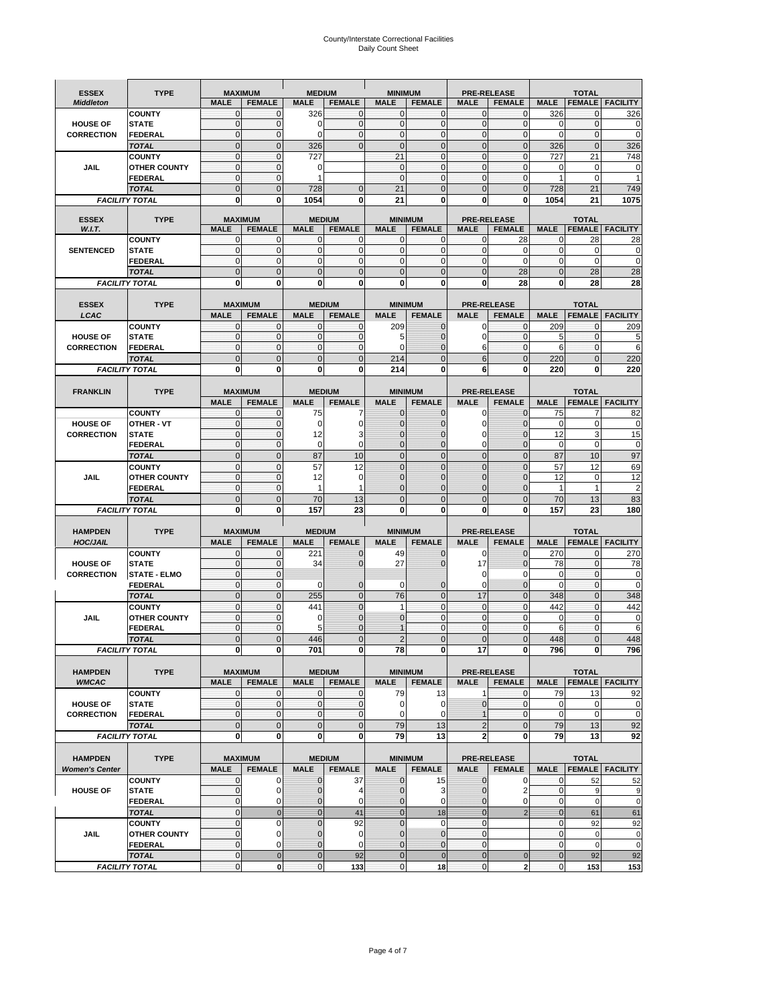# County/Interstate Correctional Facilities Daily Count Sheet

| <b>ESSEX</b>                   | <b>TYPE</b>           | <b>MAXIMUM</b> |                                 | <b>MEDIUM</b>  |                                | <b>MINIMUM</b> |                                 |                | <b>PRE-RELEASE</b>                  |                | <b>TOTAL</b>   |                          |
|--------------------------------|-----------------------|----------------|---------------------------------|----------------|--------------------------------|----------------|---------------------------------|----------------|-------------------------------------|----------------|----------------|--------------------------|
| <b>Middleton</b>               |                       | <b>MALE</b>    | <b>FEMALE</b>                   | <b>MALE</b>    | <b>FEMALE</b>                  | <b>MALE</b>    | <b>FEMALE</b>                   | <b>MALE</b>    | <b>FEMALE</b>                       | <b>MALE</b>    |                | <b>FEMALE   FACILITY</b> |
|                                | <b>COUNTY</b>         | $\mathbf{0}$   | $\mathbf 0$                     | 326            | $\Omega$                       | $\mathbf{0}$   | $\mathbf{0}$                    | $\overline{0}$ | 0                                   | 326            | 0              | 326                      |
| <b>HOUSE OF</b>                | <b>STATE</b>          | $\mathbf{0}$   | $\mathbf 0$                     | 0              | $\mathbf{O}$                   | $\mathbf{0}$   | $\mathbf{0}$                    | $\mathbf{O}$   | $\mathbf 0$                         | $\mathbf 0$    | $\mathbf 0$    | $\mathbf 0$              |
| <b>CORRECTION</b>              | <b>FEDERAL</b>        | $\Omega$       | $\overline{0}$                  | $\Omega$       | $\Omega$                       | $\mathbf{0}$   | $\Omega$                        | $\Omega$       | $\mathbf 0$                         | $\Omega$       | $\mathbf{0}$   | $\mathbf 0$              |
|                                | <b>TOTAL</b>          | $\mathbf{0}$   | $\overline{0}$                  | 326            | $\Omega$                       | $\Omega$       | $\mathbf 0$                     | $\mathbf{0}$   | $\overline{0}$                      | 326            | $\overline{0}$ | 326                      |
|                                | <b>COUNTY</b>         | $\mathbf{0}$   | $\mathbf 0$                     | 727            |                                | 21             | $\mathbf{0}$                    | $\mathbf{O}$   | $\mathbf 0$                         | 727            | 21             | 748                      |
| JAIL                           | <b>OTHER COUNTY</b>   | $\mathbf{0}$   | $\overline{0}$                  | 0              |                                | $\mathbf{0}$   | $\mathbf{0}$                    | $\mathbf{0}$   | $\mathbf 0$                         | 0              | $\mathbf 0$    | 0                        |
|                                | <b>FEDERAL</b>        | $\mathbf{0}$   | $\mathbf{0}$                    | 1              |                                | $\mathbf{0}$   | $\mathbf{0}$                    | $\mathbf{O}$   | $\mathbf 0$                         | 1              | $\mathbf 0$    | 1                        |
|                                | <b>TOTAL</b>          | $\overline{0}$ | $\overline{0}$                  | 728            | $\mathbf{0}$                   | 21             | $\Omega$                        | $\mathbf{0}$   | $\overline{0}$                      | 728            | 21             | 749                      |
|                                | <b>FACILITY TOTAL</b> | $\mathbf{0}$   | 0                               | 1054           | 0                              | 21             | $\bf{0}$                        | $\bf{0}$       | 0                                   | 1054           | 21             | 1075                     |
|                                |                       |                |                                 |                |                                |                |                                 |                |                                     |                |                |                          |
| <b>ESSEX</b>                   | <b>TYPE</b>           | <b>MALE</b>    | <b>MAXIMUM</b><br><b>FEMALE</b> | <b>MALE</b>    | <b>MEDIUM</b><br><b>FEMALE</b> | <b>MALE</b>    | <b>MINIMUM</b><br><b>FEMALE</b> | <b>MALE</b>    | <b>PRE-RELEASE</b><br><b>FEMALE</b> | <b>MALE</b>    | <b>TOTAL</b>   | <b>FEMALE</b> FACILITY   |
| W.I.T.                         | <b>COUNTY</b>         | $\mathbf 0$    | $\mathbf 0$                     | 0              | $\mathbf 0$                    | 0              | $\mathbf{0}$                    | $\mathbf 0$    | 28                                  | 0              | 28             | 28                       |
| <b>SENTENCED</b>               | <b>STATE</b>          | $\mathbf{0}$   | $\mathbf{0}$                    | $\mathbf 0$    | $\mathbf{0}$                   | $\mathbf{0}$   | $\mathbf{0}$                    | $\mathbf{O}$   | 0                                   | $\mathbf{0}$   | $\mathbf 0$    | $\pmb{0}$                |
|                                | FEDERAL               | $\mathbf{0}$   | $\mathbf{0}$                    | 0              | $\mathbf{0}$                   | $\mathbf{0}$   | $\pmb{0}$                       | $\mathbf 0$    | $\mathbf 0$                         | $\mathbf{0}$   | $\mathbf 0$    | $\mathbf 0$              |
|                                | <b>TOTAL</b>          | $\Omega$       | $\overline{0}$                  | $\mathbf 0$    | $\mathbf{0}$                   | $\overline{0}$ | $\mathbf{0}$                    | $\mathbf{0}$   | 28                                  | $\overline{0}$ | 28             | 28                       |
|                                | <b>FACILITY TOTAL</b> | 0              | 0                               | 0              | 0                              | 0              | $\bf{0}$                        | 0              | 28                                  | 0              | 28             | 28                       |
|                                |                       |                |                                 |                |                                |                |                                 |                |                                     |                |                |                          |
| <b>ESSEX</b>                   | <b>TYPE</b>           | <b>MAXIMUM</b> |                                 |                | <b>MEDIUM</b>                  |                | <b>MINIMUM</b>                  |                | <b>PRE-RELEASE</b>                  |                | <b>TOTAL</b>   |                          |
| LCAC                           |                       | <b>MALE</b>    | <b>FEMALE</b>                   | <b>MALE</b>    | <b>FEMALE</b>                  | <b>MALE</b>    | <b>FEMALE</b>                   | <b>MALE</b>    | <b>FEMALE</b>                       | <b>MALE</b>    | <b>FEMALE</b>  | <b>FACILITY</b>          |
|                                | <b>COUNTY</b>         | $\mathbf{0}$   | $\mathbf{0}$                    | $\mathbf{0}$   | 0                              | 209            | $\mathbf{0}$                    | $\Omega$       | 0                                   | 209            | 0              | 209                      |
| <b>HOUSE OF</b>                | <b>STATE</b>          | $\mathbf{0}$   | $\mathbf{0}$                    | $\mathbf 0$    | 0                              | 5              | $\mathbf{0}$                    | $\Omega$       | $\mathbf 0$                         | 5              | $\mathbf{0}$   | 5                        |
| <b>CORRECTION</b>              | FEDERAL               | $\mathbf{0}$   | $\mathbf{0}$                    | $\mathbf 0$    | $\mathbf{0}$                   | $\Omega$       | $\mathbf{0}$                    | 6              | $\mathbf 0$                         | 6              | $\mathbf{0}$   | $6\phantom{1}6$          |
|                                | <b>TOTAL</b>          | $\overline{0}$ | $\overline{0}$                  | $\overline{0}$ | $\mathbf{0}$                   | 214            | $\mathbf 0$                     | 6              | $\overline{0}$                      | 220            | $\overline{0}$ | 220                      |
|                                | <b>FACILITY TOTAL</b> | $\bf{0}$       | 0                               | 0              | 0                              | 214            | $\bf{0}$                        | 6              | 0                                   | 220            | 0              | 220                      |
|                                |                       |                |                                 |                |                                |                |                                 |                |                                     |                |                |                          |
| <b>FRANKLIN</b>                | <b>TYPE</b>           |                | <b>MAXIMUM</b>                  |                | <b>MEDIUM</b>                  |                | <b>MINIMUM</b>                  |                | <b>PRE-RELEASE</b>                  |                | <b>TOTAL</b>   |                          |
|                                |                       | <b>MALE</b>    | <b>FEMALE</b>                   | <b>MALE</b>    | <b>FEMALE</b>                  | <b>MALE</b>    | <b>FEMALE</b>                   | <b>MALE</b>    | <b>FEMALE</b>                       | <b>MALE</b>    | <b>FEMALE</b>  | <b>FACILITY</b>          |
|                                | <b>COUNTY</b>         | $\mathbf{0}$   | $\mathbf 0$                     | 75             |                                | $\overline{0}$ | $\mathbf{0}$                    | $\mathbf 0$    | 0                                   | 75             | 7              | 82                       |
| <b>HOUSE OF</b>                | <b>OTHER - VT</b>     | $\mathbf{0}$   | $\mathbf 0$                     | 0              | $\Omega$                       | $\Omega$       | $\mathbf 0$                     | 0              | $\Omega$                            | $\Omega$       | $\mathbf 0$    | $\mathbf 0$              |
| <b>CORRECTION</b>              | <b>STATE</b>          | $\overline{0}$ | $\mathbf 0$                     | 12             | 3                              | $\overline{0}$ | $\overline{0}$                  | 0              | $\overline{0}$                      | 12             | 3              | 15                       |
|                                | FEDERAL               | $\mathbf{0}$   | $\mathbf 0$                     | $\mathbf 0$    | $\Omega$                       | $\Omega$       | $\Omega$                        | 0              | $\overline{0}$                      | $\mathbf 0$    | 0              | $\mathbf 0$              |
|                                | <b>TOTAL</b>          | $\mathbf{0}$   | $\mathbf{0}$                    | 87             | 10                             | $\overline{0}$ | $\mathbf 0$                     | $\mathbf{0}$   | $\overline{0}$                      | 87             | 10             | 97                       |
|                                | <b>COUNTY</b>         | $\mathbf{0}$   | $\mathbf{0}$                    | 57             | 12                             | $\overline{0}$ | $\mathbf 0$                     | $\mathbf{0}$   | $\mathbf 0$                         | 57             | 12             | 69                       |
| JAIL                           | <b>OTHER COUNTY</b>   | $\mathbf{0}$   | $\mathbf{0}$                    | 12             | $\Omega$                       | $\Omega$       | $\overline{0}$                  | $\Omega$       | $\overline{0}$                      | 12             | $\mathbf 0$    | 12                       |
|                                | <b>FEDERAL</b>        | $\mathbf{0}$   | $\mathbf 0$                     | 1              | 1                              | $\overline{0}$ | $\mathbf{0}$                    | 0              | $\overline{0}$                      | 1              | 1              | $\overline{2}$           |
|                                | <b>TOTAL</b>          | $\mathbf{0}$   | $\mathbf 0$                     | 70             | 13                             | $\overline{0}$ | $\mathbf 0$                     | $\mathbf{0}$   | $\mathbf 0$                         | 70             | 13             | 83                       |
|                                | <b>FACILITY TOTAL</b> | $\bf{0}$       | 0                               | 157            | 23                             | 0              | $\Omega$                        | 0              | 0                                   | 157            | 23             | 180                      |
|                                |                       |                |                                 |                |                                |                |                                 |                |                                     |                |                |                          |
| <b>HAMPDEN</b>                 | <b>TYPE</b>           |                | <b>MAXIMUM</b>                  | <b>MEDIUM</b>  |                                | <b>MINIMUM</b> |                                 |                | <b>PRE-RELEASE</b>                  |                | <b>TOTAL</b>   |                          |
| <b>HOC/JAIL</b>                |                       | <b>MALE</b>    | <b>FEMALE</b>                   | <b>MALE</b>    | <b>FEMALE</b>                  | <b>MALE</b>    | <b>FEMALE</b>                   | <b>MALE</b>    | <b>FEMALE</b>                       | <b>MALE</b>    | <b>FEMALE</b>  | <b>FACILITY</b>          |
|                                | <b>COUNTY</b>         | $\mathbf{0}$   | $\mathbf 0$                     | 221            | $\mathbf{0}$                   | 49             | $\mathbf{0}$                    | $\mathbf 0$    | $\overline{0}$                      | 270            | $\mathbf{0}$   | 270                      |
| <b>HOUSE OF</b>                | <b>STATE</b>          | $\overline{0}$ | $\mathbf 0$                     | 34             | $\mathbf{0}$                   | 27             | $\mathbf 0$                     | 17             | $\overline{0}$                      | 78             | $\mathbf 0$    | 78                       |
| <b>CORRECTION</b>              | <b>STATE - ELMO</b>   | $\mathbf{0}$   | $\mathbf{0}$                    |                |                                |                |                                 | $\mathbf 0$    | 0                                   | 0              | $\mathbf 0$    | $\pmb{0}$                |
|                                | <b>FEDERAL</b>        | $\mathbf{0}$   | $\mathbf{0}$                    | 0              | $\mathbf{0}$                   | 0              | $\mathbf{0}$                    | $\mathbf 0$    | $\overline{0}$                      | $\mathbf 0$    | $\mathbf 0$    | $\mathbf 0$              |
|                                | <b>TOTAL</b>          | $\overline{0}$ | $\mathbf{0}$                    | 255            | $\mathbf{0}$                   | 76             | $\mathbf 0$                     | 17             | $\overline{0}$                      | 348            | $\mathbf 0$    | 348                      |
|                                | <b>COUNTY</b>         | $\mathbf{0}$   | $\mathbf 0$                     | 441            | $\mathbf{0}$                   | $\mathbf{1}$   | $\mathbf{0}$                    | $\mathbf{O}$   | 0                                   | 442            | $\mathbf{0}$   | 442                      |
| <b>JAIL</b>                    | <b>OTHER COUNTY</b>   | $\mathbf{0}$   | $\overline{0}$                  | 0              | $\mathbf{0}$                   | 0<br>1         | $\mathbf{0}$                    | $\mathbf{0}$   | $\mathbf 0$                         | 0              | 0              | $\pmb{0}$                |
|                                | <b>FEDERAL</b>        | $\mathbf{0}$   | 0                               | 5              | $\Omega$                       |                | $\mathbf{0}$                    | $\mathbf 0$    | 0                                   | 6              | 0              | 6                        |
|                                | <b>TOTAL</b>          | $\Omega$       | $\overline{0}$                  | 446            | $\Omega$                       | $\overline{2}$ | $\overline{0}$                  | $\overline{0}$ | $\overline{0}$                      | 448            | $\overline{0}$ | 448                      |
|                                | <b>FACILITY TOTAL</b> | $\mathbf{0}$   | 0                               | 701            | $\mathbf{0}$                   | 78             | 0                               | 17             | $\mathbf{0}$                        | 796            | $\mathbf{0}$   | 796                      |
|                                | <b>TYPE</b>           |                |                                 |                |                                |                |                                 |                | <b>PRE-RELEASE</b>                  |                |                |                          |
| <b>HAMPDEN</b><br><b>WMCAC</b> |                       | <b>MALE</b>    | <b>MAXIMUM</b><br><b>FEMALE</b> | <b>MALE</b>    | <b>MEDIUM</b><br><b>FEMALE</b> | <b>MALE</b>    | <b>MINIMUM</b><br><b>FEMALE</b> | <b>MALE</b>    | <b>FEMALE</b>                       | <b>MALE</b>    | <b>TOTAL</b>   | <b>FEMALE   FACILITY</b> |
|                                | <b>COUNTY</b>         | 0              | $\mathbf 0$                     | 0              | 0                              | 79             | 13                              | 1              | $\mathbf 0$                         | 79             | 13             |                          |
| <b>HOUSE OF</b>                | <b>STATE</b>          | $\mathbf 0$    | $\mathbf{0}$                    | 0              | $\mathbf 0$                    | 0              | 0                               | $\mathbf 0$    | $\mathbf 0$                         | $\pmb{0}$      | 0              | 92<br>0                  |
| <b>CORRECTION</b>              | <b>FEDERAL</b>        | $\mathbf{0}$   | $\mathbf{0}$                    | $\mathbf{0}$   | $\mathbf{0}$                   | 0              | 0                               | $\mathbf{1}$   | $\mathbf 0$                         | $\mathbf 0$    | $\mathbf 0$    | $\mathbf 0$              |
|                                | <b>TOTAL</b>          | $\mathbf 0$    | $\mathbf{0}$                    | $\pmb{0}$      | $\mathbf 0$                    | 79             | 13                              | $\overline{2}$ | 0                                   | 79             | 13             | 92                       |
|                                | <b>FACILITY TOTAL</b> | $\mathbf 0$    | $\mathbf 0$                     | $\mathbf{0}$   | $\mathbf 0$                    | 79             | 13                              | $\mathbf{2}$   | $\mathbf 0$                         | 79             | 13             | 92                       |
|                                |                       |                |                                 |                |                                |                |                                 |                |                                     |                |                |                          |
| <b>HAMPDEN</b>                 | <b>TYPE</b>           |                | <b>MAXIMUM</b>                  |                | <b>MEDIUM</b>                  |                | <b>MINIMUM</b>                  |                | PRE-RELEASE                         |                | <b>TOTAL</b>   |                          |
| <b>Women's Center</b>          |                       | <b>MALE</b>    | <b>FEMALE</b>                   | <b>MALE</b>    | <b>FEMALE</b>                  | <b>MALE</b>    | <b>FEMALE</b>                   | <b>MALE</b>    | <b>FEMALE</b>                       | <b>MALE</b>    |                | <b>FEMALE FACILITY</b>   |
|                                | <b>COUNTY</b>         | 0              | 0                               | $\mathbf 0$    | 37                             | 0              | 15                              | $\mathbf 0$    | 0                                   | $\mathbf{0}$   | 52             | 52                       |
| <b>HOUSE OF</b>                | <b>STATE</b>          | $\mathbf 0$    | 0                               | $\mathbf 0$    | 4                              | 0              | 3                               | $\Omega$       | 2                                   | $\mathbf 0$    | 9              | 9                        |
|                                | <b>FEDERAL</b>        | $\mathbf 0$    | 0                               | $\pmb{0}$      | $\mathbf 0$                    | $\mathbf 0$    | 0                               | $\mathbf{0}$   | 0                                   | $\mathbf 0$    | $\mathbf 0$    | $\mathbf 0$              |
|                                | <b>TOTAL</b>          | $\mathbf{0}$   | $\mathbf 0$                     | $\mathbf{0}$   | 41                             | $\overline{0}$ | 18                              | $\mathbf{0}$   | $\overline{2}$                      | $\mathbf{0}$   | 61             | 61                       |
|                                | <b>COUNTY</b>         | $\mathbf 0$    | $\mathbf 0$                     | $\mathbf 0$    | 92                             | $\mathbf 0$    | $\mathbf 0$                     | $\mathbf 0$    |                                     | $\mathbf 0$    | 92             | 92                       |
| JAIL                           | <b>OTHER COUNTY</b>   | $\mathbf{0}$   | 0                               | $\overline{0}$ | 0                              | $\overline{0}$ | $\overline{0}$                  | $\mathbf{0}$   |                                     | $\mathbf 0$    | $\mathbf 0$    | $\mathbf 0$              |
|                                | FEDERAL               | $\mathbf 0$    | 0                               | $\mathbf 0$    | 0                              | 0              | $\mathbf{0}$                    | $\mathbf 0$    |                                     | $\mathbf 0$    | $\mathbf 0$    | $\mathbf 0$              |
|                                | <b>TOTAL</b>          | $\mathbf{0}$   | $\mathbf{0}$                    | $\mathbf 0$    | 92                             | $\overline{0}$ | $\pmb{0}$                       | $\mathbf{0}$   | $\pmb{0}$                           | $\bf{0}$       | 92             | 92                       |
|                                | <b>FACILITY TOTAL</b> | $\mathbf{0}$   | $\mathbf 0$                     | $\mathbf 0$    | 133                            | $\overline{0}$ | 18                              | $\mathbf 0$    | $\mathbf 2$                         | $\pmb{0}$      | 153            | 153                      |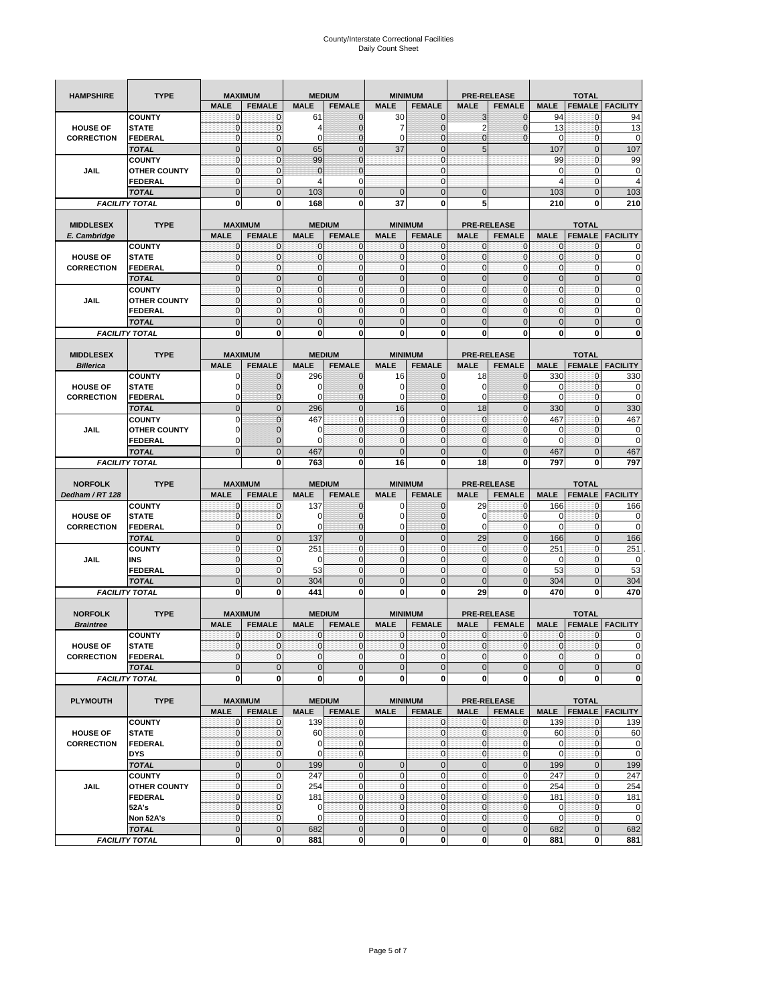| <b>HAMPSHIRE</b>                     | <b>TYPE</b>                           |                          | <b>MAXIMUM</b>                  |                | <b>MEDIUM</b>     |                            | <b>MINIMUM</b>               |                  | <b>PRE-RELEASE</b>          |                |                               |                          |
|--------------------------------------|---------------------------------------|--------------------------|---------------------------------|----------------|-------------------|----------------------------|------------------------------|------------------|-----------------------------|----------------|-------------------------------|--------------------------|
|                                      |                                       | <b>MALE</b>              | <b>FEMALE</b>                   | <b>MALE</b>    | <b>FEMALE</b>     | <b>MALE</b>                | <b>FEMALE</b>                | <b>MALE</b>      | <b>FEMALE</b>               | <b>MALE</b>    | <b>TOTAL</b><br><b>FEMALE</b> | <b>FACILITY</b>          |
|                                      | <b>COUNTY</b>                         | $\mathbf{0}$             | $\mathbf 0$                     | 61             | $\mathbf 0$       | 30                         | $\mathbf 0$                  | 3                | $\mathbf 0$                 | 94             | $\mathbf{0}$                  | 94                       |
| <b>HOUSE OF</b>                      | <b>STATE</b>                          | $\mathbf{0}$             | $\mathbf 0$                     | 4              | $\mathbf 0$       | 7                          | $\mathbf 0$                  | $\overline{2}$   | $\overline{0}$              | 13             | $\mathbf 0$                   | 13                       |
| <b>CORRECTION</b>                    | <b>FEDERAL</b>                        | $\mathbf{0}$             | $\mathbf 0$                     | $\mathbf 0$    | $\mathbf 0$       | $\mathbf 0$                | $\mathbf 0$                  | $\mathbf 0$      | $\overline{0}$              | 0              | 0                             | 0                        |
|                                      | <b>TOTAL</b>                          | $\mathbf{0}$             | $\overline{0}$                  | 65             | $\mathbf{0}$      | 37                         | $\mathbf{0}$                 | 5                |                             | 107            | $\mathbf{0}$                  | 107                      |
|                                      | <b>COUNTY</b>                         | $\mathbf{0}$             | $\mathbf 0$                     | 99             | $\overline{0}$    |                            | $\mathbf{0}$                 |                  |                             | 99             | $\mathbf{0}$                  | 99                       |
| JAIL                                 | <b>OTHER COUNTY</b>                   | $\mathbf{0}$             | $\mathbf{0}$                    | $\mathbf{0}$   | $\mathbf{0}$      |                            | $\overline{0}$               |                  |                             | 0              | $\mathbf 0$                   | 0                        |
|                                      | FEDERAL                               | $\mathbf{0}$             | $\mathbf 0$                     | 4              | 0                 |                            | $\overline{0}$               |                  |                             | 4              | $\mathbf{0}$                  | $\overline{4}$           |
|                                      | <b>TOTAL</b>                          | $\mathbf{0}$             | $\mathbf 0$                     | 103            | $\mathbf 0$       | $\mathbf 0$                | $\overline{0}$               | $\mathbf 0$      |                             | 103            | $\mathbf 0$                   | 103                      |
|                                      | <b>FACILITY TOTAL</b>                 | 0                        | 0                               | 168            | 0                 | 37                         | 0                            | 5                |                             | 210            | 0                             | 210                      |
|                                      |                                       |                          |                                 |                |                   |                            |                              |                  |                             |                |                               |                          |
| <b>MIDDLESEX</b>                     | <b>TYPE</b>                           |                          | <b>MAXIMUM</b>                  |                | <b>MEDIUM</b>     |                            | <b>MINIMUM</b>               |                  | <b>PRE-RELEASE</b>          |                | <b>TOTAL</b>                  |                          |
| E. Cambridge                         |                                       | <b>MALE</b>              | <b>FEMALE</b>                   | <b>MALE</b>    | <b>FEMALE</b>     | <b>MALE</b>                | <b>FEMALE</b>                | <b>MALE</b>      | <b>FEMALE</b>               | <b>MALE</b>    | <b>FEMALE</b>                 | <b>FACILITY</b>          |
|                                      | <b>COUNTY</b>                         | 0                        | 0                               | $\mathbf 0$    | 0                 | 0                          | $\mathbf{0}$                 | 0                | 0                           | 0              | 0                             | 0                        |
| <b>HOUSE OF</b>                      | <b>STATE</b>                          | $\pmb{0}$                | 0                               | $\mathbf{0}$   | $\mathbf 0$       | $\mathbf 0$                | $\mathbf{0}$                 | $\mathbf 0$      | $\mathbf 0$                 | $\pmb{0}$      | $\mathbf 0$                   | 0                        |
| <b>CORRECTION</b>                    | <b>FEDERAL</b>                        | $\mathbf{0}$             | $\mathbf 0$                     | $\mathbf 0$    | $\mathbf 0$       | $\mathbf 0$                | $\mathbf{0}$                 | $\mathbf 0$      | $\mathbf 0$                 | $\mathbf{0}$   | $\mathbf 0$                   | $\mathbf 0$              |
|                                      | <b>TOTAL</b>                          | $\Omega$                 | $\mathbf 0$                     | $\mathbf{0}$   | $\mathbf 0$       | $\mathbf 0$                | $\mathbf 0$                  | $\mathbf{0}$     | $\overline{0}$              | $\pmb{0}$      | $\mathbf{0}$                  | $\mathbf 0$              |
|                                      | <b>COUNTY</b>                         | $\mathbf{0}$             | $\mathbf{0}$                    | $\mathbf{0}$   | $\mathbf{0}$      | $\mathbf{0}$               | $\mathbf{0}$                 | $\mathbf{0}$     | $\mathbf 0$                 | $\mathbf{0}$   | $\mathbf{0}$                  | 0                        |
| <b>JAIL</b>                          | <b>OTHER COUNTY</b>                   | $\pmb{0}$                | $\mathbf 0$                     | $\mathbf 0$    | 0                 | $\mathbf{0}$               | $\overline{0}$               | $\mathbf{0}$     | 0                           | $\pmb{0}$      | 0                             | 0                        |
|                                      | <b>FEDERAL</b>                        | $\mathbf{0}$             | $\mathbf{0}$                    | $\mathbf 0$    | $\mathbf 0$       | $\mathbf{0}$               | $\overline{0}$               | $\mathbf{0}$     | $\mathbf 0$                 | $\mathbf{0}$   | $\mathbf{0}$                  | 0                        |
|                                      | <b>TOTAL</b>                          | $\mathbf 0$              | $\overline{0}$                  | $\overline{0}$ | $\overline{0}$    | $\overline{0}$             | $\overline{0}$               | $\overline{0}$   | $\overline{0}$              | $\mathbf{0}$   | $\overline{0}$                | $\overline{0}$           |
|                                      | <b>FACILITY TOTAL</b>                 | 0                        | 0                               | 0              | 0                 | 0                          | 0                            | 0                | 0                           | $\mathbf 0$    | 0                             | 0                        |
|                                      |                                       |                          |                                 |                |                   |                            |                              |                  |                             |                |                               |                          |
| <b>MIDDLESEX</b>                     | <b>TYPE</b>                           |                          | <b>MAXIMUM</b><br><b>FEMALE</b> |                | <b>MEDIUM</b>     |                            | <b>MINIMUM</b>               |                  | <b>PRE-RELEASE</b>          | <b>MALE</b>    | <b>TOTAL</b>                  |                          |
| <b>Billerica</b>                     |                                       | <b>MALE</b>              |                                 | <b>MALE</b>    | <b>FEMALE</b>     | <b>MALE</b>                | <b>FEMALE</b>                | <b>MALE</b>      | <b>FEMALE</b>               |                | <b>FEMALE</b>                 | <b>FACILITY</b>          |
|                                      | <b>COUNTY</b>                         | 0                        | $\mathbf 0$<br>$\mathbf 0$      | 296            | 0<br>$\mathbf{0}$ | 16                         | $\mathbf{0}$                 | 18               | $\mathbf 0$<br>$\mathbf 0$  | 330            | 0<br>$\mathbf 0$              | 330                      |
| <b>HOUSE OF</b><br><b>CORRECTION</b> | <b>STATE</b><br><b>FEDERAL</b>        | 0<br>0                   | $\mathbf{0}$                    | 0<br>0         | 0                 | 0<br>0                     | 0<br>$\mathbf{0}$            | 0<br>0           | $\mathbf 0$                 | 0<br>0         | 0                             | 0<br>0                   |
|                                      | <b>TOTAL</b>                          | $\mathbf{0}$             | $\mathbf 0$                     | 296            | $\mathbf 0$       | 16                         | $\overline{0}$               | 18               | $\mathbf 0$                 | 330            | $\mathbf{0}$                  | 330                      |
|                                      |                                       | $\Omega$                 | $\overline{0}$                  | 467            | $\mathbf{0}$      | $\mathbf 0$                | $\mathbf{0}$                 | $\mathbf 0$      | $\mathbf 0$                 | 467            | $\mathbf 0$                   | 467                      |
| JAIL                                 | <b>COUNTY</b><br><b>OTHER COUNTY</b>  | 0                        | $\mathbf 0$                     | 0              | $\mathbf{0}$      | $\mathbf{0}$               | $\mathbf{0}$                 | $\mathbf{0}$     | $\mathbf 0$                 | 0              | 0                             | $\mathbf 0$              |
|                                      | <b>FEDERAL</b>                        | $\Omega$                 | $\mathbf 0$                     | 0              | $\mathbf 0$       | $\mathbf 0$                | $\overline{0}$               | $\mathbf 0$      | $\mathbf 0$                 | $\Omega$       | $\mathbf 0$                   | $\mathbf 0$              |
|                                      | <b>TOTAL</b>                          | $\mathbf 0$              | $\overline{0}$                  | 467            | $\overline{0}$    | $\overline{0}$             | $\overline{0}$               | $\overline{0}$   | $\overline{0}$              | 467            | $\overline{0}$                | 467                      |
|                                      | <b>FACILITY TOTAL</b>                 |                          | 0                               | 763            | 0                 | 16                         | $\mathbf{0}$                 | 18               | 0                           | 797            | 0                             | 797                      |
|                                      |                                       |                          |                                 |                |                   |                            |                              |                  |                             |                |                               |                          |
|                                      |                                       |                          |                                 |                |                   |                            |                              |                  |                             |                |                               |                          |
| <b>NORFOLK</b>                       | <b>TYPE</b>                           |                          | <b>MAXIMUM</b>                  |                | <b>MEDIUM</b>     |                            | <b>MINIMUM</b>               |                  | <b>PRE-RELEASE</b>          |                | <b>TOTAL</b>                  |                          |
| Dedham / RT 128                      |                                       | <b>MALE</b>              | <b>FEMALE</b>                   | <b>MALE</b>    | <b>FEMALE</b>     | <b>MALE</b>                | <b>FEMALE</b>                | <b>MALE</b>      | <b>FEMALE</b>               | <b>MALE</b>    | <b>FEMALE</b>                 | <b>FACILITY</b>          |
|                                      | <b>COUNTY</b>                         | 0                        | 0                               | 137            | 0                 | 0                          | $\mathbf{0}$                 | 29               | 0                           | 166            | 0                             | 166                      |
| <b>HOUSE OF</b>                      | <b>STATE</b>                          | $\mathbf{0}$             | $\mathbf 0$                     | 0              | $\mathbf{0}$      | $\mathbf 0$                | $\mathbf{0}$                 | 0                | $\mathbf 0$                 | 0              | $\mathbf{0}$                  | 0                        |
| <b>CORRECTION</b>                    | FEDERAL                               | $\mathbf 0$              | 0                               | 0              | 0                 | 0                          | $\overline{0}$               | 0                | $\mathbf 0$                 | $\mathbf 0$    | $\mathbf 0$                   | 0                        |
|                                      | <b>TOTAL</b>                          | $\pmb{0}$                | $\mathbf 0$                     | 137            | $\mathbf 0$       | $\mathbf 0$                | $\mathbf 0$                  | 29               | $\mathbf 0$                 | 166            | $\mathbf 0$                   | 166                      |
|                                      | <b>COUNTY</b>                         | $\mathbf{0}$             | 0                               | 251            | $\mathbf{0}$      | $\mathbf 0$                | $\mathbf{0}$                 | $\mathbf 0$      | $\mathbf 0$                 | 251            | 0                             | 251                      |
| JAIL                                 | INS                                   | $\mathbf 0$              | 0                               | 0              | $\mathbf{0}$      | $\mathbf{0}$               | $\mathbf{0}$                 | $\mathbf 0$      | $\mathbf 0$                 | 0              | 0                             | 0                        |
|                                      | <b>FEDERAL</b>                        | $\mathbf{0}$             | $\mathbf 0$                     | 53             | $\mathbf 0$       | $\mathbf{0}$               | $\overline{0}$               | $\mathbf{0}$     | $\mathbf 0$                 | 53             | $\mathbf 0$                   | 53                       |
|                                      | <b>TOTAL</b>                          | $\mathbf 0$              | $\overline{0}$                  | 304            | $\overline{0}$    | $\overline{0}$             | $\overline{0}$               | $\overline{0}$   | $\overline{0}$              | 304            | $\mathbf{0}$                  | 304                      |
|                                      | <b>FACILITY TOTAL</b>                 | 0                        | 0                               | 441            | 0                 | 0                          | 0                            | 29               | 0                           | 470            | 0                             | 470                      |
|                                      |                                       |                          |                                 |                |                   |                            |                              |                  |                             |                |                               |                          |
| <b>NORFOLK</b>                       | <b>TYPE</b>                           |                          | <b>MAXIMUM</b>                  |                | <b>MEDIUM</b>     |                            | <b>MINIMUM</b>               |                  | <b>PRE-RELEASE</b>          |                | <b>TOTAL</b>                  |                          |
| <b>Braintree</b>                     |                                       | <b>MALE</b>              | <b>FEMALE</b>                   | <b>MALE</b>    | <b>FEMALE</b>     | <b>MALE</b>                | <b>FEMALE</b>                | <b>MALE</b>      | <b>FEMALE</b>               | <b>MALE</b>    | <b>FEMALE</b>                 | <b>FACILITY</b>          |
|                                      | <b>COUNTY</b>                         | $\mathbf{0}$             | $\mathbf{0}$                    | $\mathbf 0$    | 0                 | 0                          | $\mathbf{0}$                 | 0                | $\mathbf{0}$                | $\mathbf 0$    | 0                             | 0                        |
| <b>HOUSE OF</b>                      | <b>STATE</b>                          | $\Omega$                 | $\Omega$                        | $\Omega$       | $\overline{0}$    | $\Omega$                   | $\Omega$                     | $\mathbf{0}$     | $\Omega$                    | $\Omega$       | $\Omega$                      | $\Omega$                 |
| <b>CORRECTION</b>                    | FEDERAL                               | $\mathbf 0$              | 0                               | $\mathbf 0$    | $\mathbf 0$       | $\mathbf 0$                | $\overline{0}$               | $\mathbf 0$      | $\mathbf 0$                 | $\overline{0}$ | $\mathbf 0$                   | $\mathbf 0$              |
|                                      | <b>TOTAL</b>                          | $\mathbf 0$              | $\mathbf 0$                     | $\mathbf{0}$   | $\mathbf 0$       | $\mathbf 0$                | $\mathbf{0}$                 | $\mathbf 0$      | $\mathbf 0$                 | $\mathbf 0$    | $\mathbf 0$                   | $\mathbf 0$              |
|                                      | <b>FACILITY TOTAL</b>                 | $\mathbf 0$              | 0                               | $\mathbf{0}$   | 0                 | $\mathbf 0$                | <sub>0</sub>                 | $\bf{0}$         | 0                           | $\mathbf{0}$   | $\mathbf 0$                   | $\mathbf{0}$             |
| <b>PLYMOUTH</b>                      | <b>TYPE</b>                           |                          | <b>MAXIMUM</b>                  |                | <b>MEDIUM</b>     |                            | <b>MINIMUM</b>               |                  | PRE-RELEASE                 |                | <b>TOTAL</b>                  |                          |
|                                      |                                       | <b>MALE</b>              | <b>FEMALE</b>                   | <b>MALE</b>    | <b>FEMALE</b>     | <b>MALE</b>                | <b>FEMALE</b>                | <b>MALE</b>      | <b>FEMALE</b>               | <b>MALE</b>    |                               | <b>FEMALE   FACILITY</b> |
|                                      | <b>COUNTY</b>                         | $\mathbf 0$              | 0                               | 139            | 0                 |                            | $\mathbf{0}$                 | $\mathbf 0$      | $\mathbf 0$                 | 139            | $\mathbf 0$                   | 139                      |
| <b>HOUSE OF</b>                      | <b>STATE</b>                          | $\mathbf{0}$             | $\mathbf{0}$                    | 60             | $\pmb{0}$         |                            | $\overline{0}$               | $\pmb{0}$        | 0                           | 60             | $\mathbf 0$                   | 60                       |
| <b>CORRECTION</b>                    | FEDERAL                               | $\mathbf 0$              | 0                               | $\mathbf 0$    | $\pmb{0}$         |                            | $\overline{0}$               | $\mathbf 0$      | $\mathbf 0$                 | $\mathbf 0$    | $\mathbf 0$                   | $\mathbf 0$              |
|                                      | <b>DYS</b>                            | $\mathbf{0}$             | $\mathbf{0}$                    | 0              | $\mathbf{0}$      |                            | $\overline{0}$               | $\pmb{0}$        | $\mathbf{0}$                | $\mathbf 0$    | $\mathbf{0}$                  | $\mathbf 0$              |
|                                      | <b>TOTAL</b>                          | $\mathbf 0$              | $\mathbf 0$                     | 199            | $\mathbf 0$       | $\mathbf 0$                | $\mathbf 0$                  | $\mathbf 0$      | $\pmb{0}$                   | 199            | $\mathbf 0$                   | 199                      |
|                                      | <b>COUNTY</b>                         | $\mathbf{0}$             | $\mathbf 0$                     | 247            | $\mathbf{0}$      | $\mathbf 0$                | $\overline{0}$               | $\mathbf 0$      | $\mathbf 0$                 | 247            | $\mathbf 0$                   | 247                      |
| <b>JAIL</b>                          | <b>OTHER COUNTY</b>                   | $\mathbf{0}$             | $\mathbf 0$                     | 254            | $\mathbf 0$       | $\mathbf 0$                | $\overline{0}$               | $\mathbf 0$      | 0                           | 254            | $\mathbf 0$                   | 254                      |
|                                      | <b>FEDERAL</b>                        | $\mathbf{0}$             | 0                               | 181            | $\mathbf 0$       | $\mathbf 0$                | $\overline{0}$               | $\mathbf 0$      | 0                           | 181            | $\mathbf 0$                   | 181                      |
|                                      | 52A's                                 | $\mathbf 0$              | $\mathbf 0$                     | 0              | $\mathbf{0}$      | $\mathbf 0$                | $\overline{0}$               | $\mathbf 0$      | $\mathbf{0}$                | $\mathbf 0$    | $\mathbf{0}$                  | $\mathbf 0$              |
|                                      | Non 52A's                             | $\mathbf 0$              | 0                               | $\mathbf 0$    | $\mathbf 0$       | $\mathbf 0$                | $\overline{0}$               | $\mathbf 0$      | 0                           | $\mathbf 0$    | $\mathbf 0$                   | $\mathbf 0$              |
|                                      | <b>TOTAL</b><br><b>FACILITY TOTAL</b> | $\mathbf 0$<br>$\pmb{0}$ | $\mathbf 0$<br>$\mathbf 0$      | 682<br>881     | $\pmb{0}$<br>0    | $\mathbf 0$<br>$\mathbf 0$ | $\mathbf{0}$<br>$\mathbf{0}$ | $\mathbf 0$<br>0 | $\mathbf 0$<br>$\mathbf{0}$ | 682<br>881     | $\mathbf 0$<br>$\mathbf{0}$   | 682<br>881               |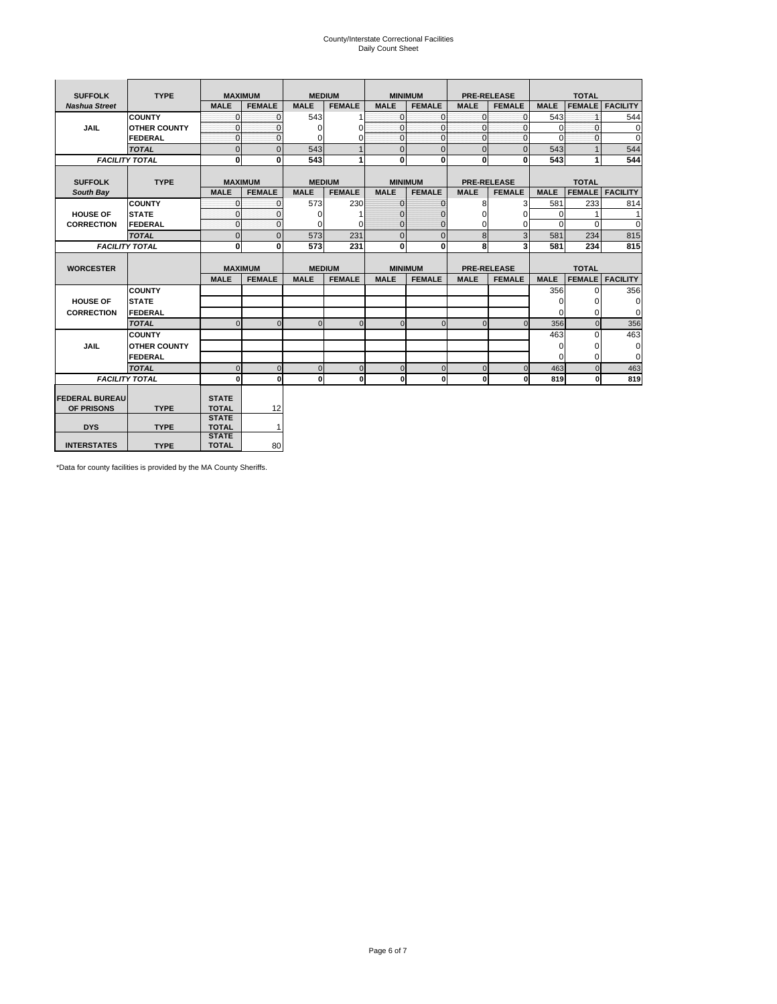# County/Interstate Correctional Facilities Daily Count Sheet

| <b>SUFFOLK</b>        | <b>TYPE</b>           | <b>MAXIMUM</b>               |                |               | <b>MEDIUM</b> |              | <b>MINIMUM</b> |                | <b>PRE-RELEASE</b> |             | <b>TOTAL</b>  |                        |
|-----------------------|-----------------------|------------------------------|----------------|---------------|---------------|--------------|----------------|----------------|--------------------|-------------|---------------|------------------------|
| <b>Nashua Street</b>  |                       | <b>MALE</b>                  | <b>FEMALE</b>  | <b>MALE</b>   | <b>FEMALE</b> | <b>MALE</b>  | <b>FEMALE</b>  | <b>MALE</b>    | <b>FEMALE</b>      | <b>MALE</b> | <b>FEMALE</b> | <b>FACILITY</b>        |
|                       | <b>COUNTY</b>         | $\Omega$                     | $\Omega$       | 543           |               | $\mathbf{O}$ | $\Omega$       | $\Omega$       | $\Omega$           | 543         | 1             | 544                    |
| <b>JAIL</b>           | <b>OTHER COUNTY</b>   | $\Omega$                     | $\Omega$       | $\Omega$      | $\Omega$      | $\mathbf{0}$ | $\Omega$       | $\mathbf{0}$   | $\Omega$           | $\mathbf 0$ | $\Omega$      | $\mathbf 0$            |
|                       | <b>FEDERAL</b>        | $\Omega$                     | $\Omega$       | $\Omega$      | 0             | $\mathbf 0$  | $\Omega$       | $\Omega$       | $\Omega$           | $\Omega$    | $\Omega$      | $\Omega$               |
|                       | <b>TOTAL</b>          | $\overline{0}$               | $\overline{0}$ | 543           |               | $\mathbf{0}$ | $\overline{0}$ | $\overline{0}$ | $\Omega$           | 543         |               | 544                    |
|                       | <b>FACILITY TOTAL</b> | 0                            | 0              | 543           |               | $\mathbf{0}$ | 0              | $\bf{0}$       | 0                  | 543         | 1             | 544                    |
|                       |                       |                              |                |               |               |              |                |                |                    |             |               |                        |
| <b>SUFFOLK</b>        | <b>TYPE</b>           | <b>MAXIMUM</b>               |                | <b>MEDIUM</b> |               |              | <b>MINIMUM</b> |                | <b>PRE-RELEASE</b> |             | <b>TOTAL</b>  |                        |
| South Bay             |                       | <b>MALE</b>                  | <b>FEMALE</b>  | <b>MALE</b>   | <b>FEMALE</b> | <b>MALE</b>  | <b>FEMALE</b>  | <b>MALE</b>    | <b>FEMALE</b>      | <b>MALE</b> |               | <b>FEMALE</b> FACILITY |
|                       | <b>COUNTY</b>         | $\Omega$                     | $\mathbf{0}$   | 573           | 230           | $\mathbf{0}$ | $\mathbf{0}$   | 8              | $\overline{3}$     | 581         | 233           | 814                    |
| <b>HOUSE OF</b>       | <b>STATE</b>          | $\Omega$                     | $\Omega$       | $\Omega$      |               | $\mathbf{0}$ | 0              | $\Omega$       | $\Omega$           | $\Omega$    |               | 1                      |
| <b>CORRECTION</b>     | FEDERAL               | 0                            | $\Omega$       | $\Omega$      | $\Omega$      | $\mathbf{0}$ | $\mathbf{0}$   | $\Omega$       | 0                  | $\Omega$    | $\Omega$      | $\Omega$               |
|                       | <b>TOTAL</b>          | $\overline{0}$               | $\overline{0}$ | 573           | 231           | $\mathbf{0}$ | $\overline{0}$ | 8              | 3                  | 581         | 234           | 815                    |
|                       | <b>FACILITY TOTAL</b> | 0                            | 0              | 573           | 231           | $\mathbf{0}$ | 0              | 8              | 3                  | 581         | 234           | 815                    |
|                       |                       |                              |                |               |               |              |                |                |                    |             |               |                        |
| <b>WORCESTER</b>      |                       | <b>MAXIMUM</b>               |                | <b>MEDIUM</b> |               |              | <b>MINIMUM</b> |                | <b>PRE-RELEASE</b> |             | <b>TOTAL</b>  |                        |
|                       |                       | <b>MALE</b>                  | <b>FEMALE</b>  | <b>MALE</b>   | <b>FEMALE</b> | <b>MALE</b>  | <b>FEMALE</b>  | <b>MALE</b>    | <b>FEMALE</b>      | <b>MALE</b> | <b>FEMALE</b> | <b>FACILITY</b>        |
|                       | <b>COUNTY</b>         |                              |                |               |               |              |                |                |                    | 356         | $\Omega$      | 356                    |
| <b>HOUSE OF</b>       | <b>STATE</b>          |                              |                |               |               |              |                |                |                    | $\Omega$    | 0             | 0                      |
| <b>CORRECTION</b>     | FEDERAL               |                              |                |               |               |              |                |                |                    | $\Omega$    | $\Omega$      | $\mathbf 0$            |
|                       | <b>TOTAL</b>          | $\Omega$                     | $\Omega$       | $\Omega$      | $\mathbf 0$   | $\mathbf{0}$ | $\Omega$       | $\Omega$       | $\Omega$           | 356         | $\Omega$      | 356                    |
|                       | <b>COUNTY</b>         |                              |                |               |               |              |                |                |                    | 463         | $\Omega$      | 463                    |
| <b>JAIL</b>           | <b>OTHER COUNTY</b>   |                              |                |               |               |              |                |                |                    | $\mathbf 0$ | 0             | 0                      |
|                       | FEDERAL               |                              |                |               |               |              |                |                |                    | $\Omega$    | $\Omega$      | $\mathbf 0$            |
|                       | <b>TOTAL</b>          | $\Omega$                     | $\Omega$       | $\Omega$      | $\mathbf 0$   | $\mathbf 0$  | $\Omega$       | $\Omega$       | $\Omega$           | 463         | $\Omega$      | 463                    |
|                       | <b>FACILITY TOTAL</b> | $\bf{0}$                     | $\mathbf 0$    | $\Omega$      | 0             | $\mathbf{0}$ | $\mathbf{0}$   | $\mathbf 0$    | O                  | 819         | 0             | 819                    |
|                       |                       |                              |                |               |               |              |                |                |                    |             |               |                        |
| <b>FEDERAL BUREAU</b> |                       | <b>STATE</b>                 |                |               |               |              |                |                |                    |             |               |                        |
| OF PRISONS            | <b>TYPE</b>           | <b>TOTAL</b><br><b>STATE</b> | 12             |               |               |              |                |                |                    |             |               |                        |
| <b>DYS</b>            | <b>TYPE</b>           | <b>TOTAL</b>                 | 1              |               |               |              |                |                |                    |             |               |                        |
|                       |                       | <b>STATE</b>                 |                |               |               |              |                |                |                    |             |               |                        |
| <b>INTERSTATES</b>    | <b>TYPE</b>           | <b>TOTAL</b>                 | 80             |               |               |              |                |                |                    |             |               |                        |

\*Data for county facilities is provided by the MA County Sheriffs.